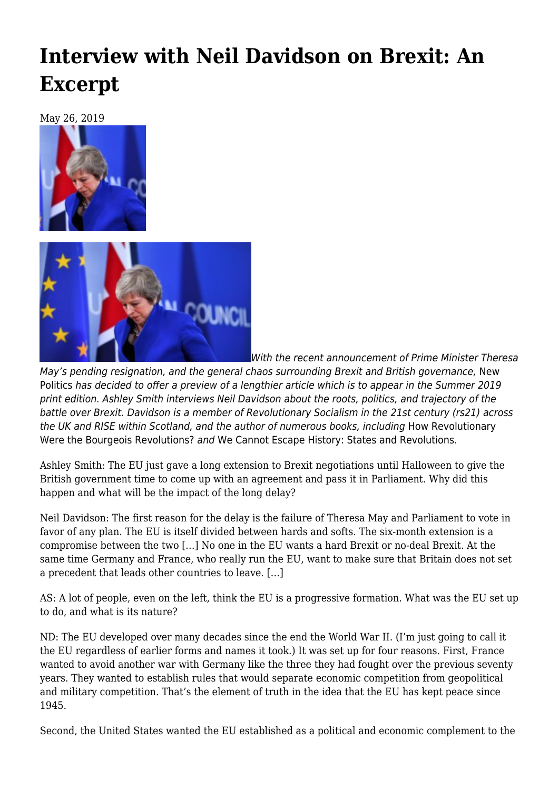## **[Interview with Neil Davidson on Brexit: An](https://newpol.org/interview-with-neil-davidson-on-brexit-an-excerpt/) [Excerpt](https://newpol.org/interview-with-neil-davidson-on-brexit-an-excerpt/)**

May 26, 2019





With the recent announcement of Prime Minister Theresa

May's pending resignation, and the general chaos surrounding Brexit and British governance, New Politics has decided to offer a preview of a lengthier article which is to appear in the Summer 2019 print edition. Ashley Smith interviews Neil Davidson about the roots, politics, and trajectory of the battle over Brexit. Davidson is a member of Revolutionary Socialism in the 21st century (rs21) across the UK and RISE within Scotland, and the author of numerous books, including [How Revolutionary](http://www.haymarketbooks.org/books/323-how-revolutionary-were-the-bourgeois-revolutions) [Were the Bourgeois Revolutions?](http://www.haymarketbooks.org/books/323-how-revolutionary-were-the-bourgeois-revolutions) and [We Cannot Escape History: States and Revolutions.](http://www.haymarketbooks.org/pb/We-Cannot-Escape-History)

Ashley Smith: The EU just gave a long extension to Brexit negotiations until Halloween to give the British government time to come up with an agreement and pass it in Parliament. Why did this happen and what will be the impact of the long delay?

Neil Davidson: The first reason for the delay is the failure of Theresa May and Parliament to vote in favor of any plan. The EU is itself divided between hards and softs. The six-month extension is a compromise between the two […] No one in the EU wants a hard Brexit or no-deal Brexit. At the same time Germany and France, who really run the EU, want to make sure that Britain does not set a precedent that leads other countries to leave. […]

AS: A lot of people, even on the left, think the EU is a progressive formation. What was the EU set up to do, and what is its nature?

ND: The EU developed over many decades since the end the World War II. (I'm just going to call it the EU regardless of earlier forms and names it took.) It was set up for four reasons. First, France wanted to avoid another war with Germany like the three they had fought over the previous seventy years. They wanted to establish rules that would separate economic competition from geopolitical and military competition. That's the element of truth in the idea that the EU has kept peace since 1945.

Second, the United States wanted the EU established as a political and economic complement to the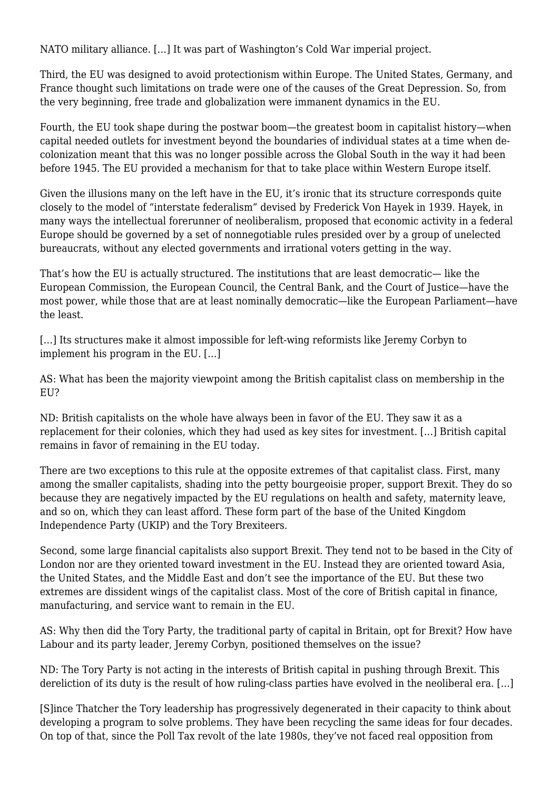NATO military alliance. […] It was part of Washington's Cold War imperial project.

Third, the EU was designed to avoid protectionism within Europe. The United States, Germany, and France thought such limitations on trade were one of the causes of the Great Depression. So, from the very beginning, free trade and globalization were immanent dynamics in the EU.

Fourth, the EU took shape during the postwar boom—the greatest boom in capitalist history—when capital needed outlets for investment beyond the boundaries of individual states at a time when decolonization meant that this was no longer possible across the Global South in the way it had been before 1945. The EU provided a mechanism for that to take place within Western Europe itself.

Given the illusions many on the left have in the EU, it's ironic that its structure corresponds quite closely to the model of "interstate federalism" devised by Frederick Von Hayek in 1939. Hayek, in many ways the intellectual forerunner of neoliberalism, proposed that economic activity in a federal Europe should be governed by a set of nonnegotiable rules presided over by a group of unelected bureaucrats, without any elected governments and irrational voters getting in the way.

That's how the EU is actually structured. The institutions that are least democratic— like the European Commission, the European Council, the Central Bank, and the Court of Justice—have the most power, while those that are at least nominally democratic—like the European Parliament—have the least.

[...] Its structures make it almost impossible for left-wing reformists like Jeremy Corbyn to implement his program in the EU. […]

AS: What has been the majority viewpoint among the British capitalist class on membership in the EU?

ND: British capitalists on the whole have always been in favor of the EU. They saw it as a replacement for their colonies, which they had used as key sites for investment. […] British capital remains in favor of remaining in the EU today.

There are two exceptions to this rule at the opposite extremes of that capitalist class. First, many among the smaller capitalists, shading into the petty bourgeoisie proper, support Brexit. They do so because they are negatively impacted by the EU regulations on health and safety, maternity leave, and so on, which they can least afford. These form part of the base of the United Kingdom Independence Party (UKIP) and the Tory Brexiteers.

Second, some large financial capitalists also support Brexit. They tend not to be based in the City of London nor are they oriented toward investment in the EU. Instead they are oriented toward Asia, the United States, and the Middle East and don't see the importance of the EU. But these two extremes are dissident wings of the capitalist class. Most of the core of British capital in finance, manufacturing, and service want to remain in the EU.

AS: Why then did the Tory Party, the traditional party of capital in Britain, opt for Brexit? How have Labour and its party leader, Jeremy Corbyn, positioned themselves on the issue?

ND: The Tory Party is not acting in the interests of British capital in pushing through Brexit. This dereliction of its duty is the result of how ruling-class parties have evolved in the neoliberal era. […]

[S]ince Thatcher the Tory leadership has progressively degenerated in their capacity to think about developing a program to solve problems. They have been recycling the same ideas for four decades. On top of that, since the Poll Tax revolt of the late 1980s, they've not faced real opposition from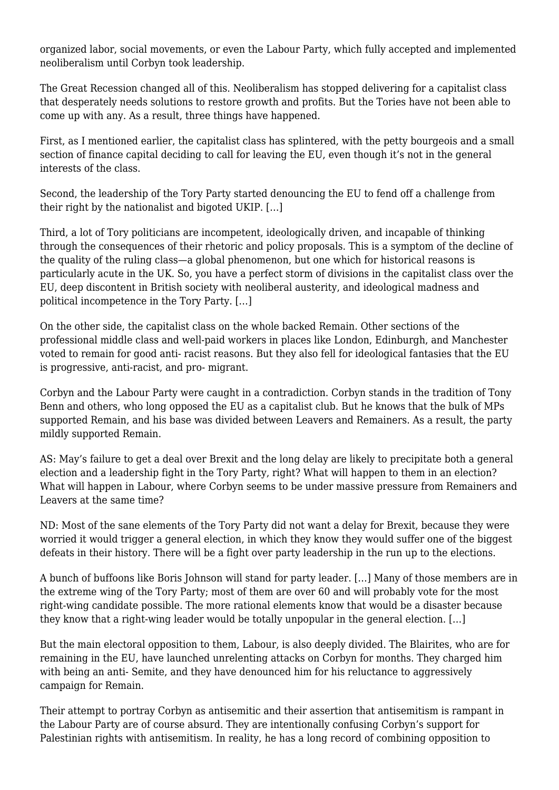organized labor, social movements, or even the Labour Party, which fully accepted and implemented neoliberalism until Corbyn took leadership.

The Great Recession changed all of this. Neoliberalism has stopped delivering for a capitalist class that desperately needs solutions to restore growth and profits. But the Tories have not been able to come up with any. As a result, three things have happened.

First, as I mentioned earlier, the capitalist class has splintered, with the petty bourgeois and a small section of finance capital deciding to call for leaving the EU, even though it's not in the general interests of the class.

Second, the leadership of the Tory Party started denouncing the EU to fend off a challenge from their right by the nationalist and bigoted UKIP. […]

Third, a lot of Tory politicians are incompetent, ideologically driven, and incapable of thinking through the consequences of their rhetoric and policy proposals. This is a symptom of the decline of the quality of the ruling class—a global phenomenon, but one which for historical reasons is particularly acute in the UK. So, you have a perfect storm of divisions in the capitalist class over the EU, deep discontent in British society with neoliberal austerity, and ideological madness and political incompetence in the Tory Party. […]

On the other side, the capitalist class on the whole backed Remain. Other sections of the professional middle class and well-paid workers in places like London, Edinburgh, and Manchester voted to remain for good anti- racist reasons. But they also fell for ideological fantasies that the EU is progressive, anti-racist, and pro- migrant.

Corbyn and the Labour Party were caught in a contradiction. Corbyn stands in the tradition of Tony Benn and others, who long opposed the EU as a capitalist club. But he knows that the bulk of MPs supported Remain, and his base was divided between Leavers and Remainers. As a result, the party mildly supported Remain.

AS: May's failure to get a deal over Brexit and the long delay are likely to precipitate both a general election and a leadership fight in the Tory Party, right? What will happen to them in an election? What will happen in Labour, where Corbyn seems to be under massive pressure from Remainers and Leavers at the same time?

ND: Most of the sane elements of the Tory Party did not want a delay for Brexit, because they were worried it would trigger a general election, in which they know they would suffer one of the biggest defeats in their history. There will be a fight over party leadership in the run up to the elections.

A bunch of buffoons like Boris Johnson will stand for party leader. […] Many of those members are in the extreme wing of the Tory Party; most of them are over 60 and will probably vote for the most right-wing candidate possible. The more rational elements know that would be a disaster because they know that a right-wing leader would be totally unpopular in the general election. […]

But the main electoral opposition to them, Labour, is also deeply divided. The Blairites, who are for remaining in the EU, have launched unrelenting attacks on Corbyn for months. They charged him with being an anti- Semite, and they have denounced him for his reluctance to aggressively campaign for Remain.

Their attempt to portray Corbyn as antisemitic and their assertion that antisemitism is rampant in the Labour Party are of course absurd. They are intentionally confusing Corbyn's support for Palestinian rights with antisemitism. In reality, he has a long record of combining opposition to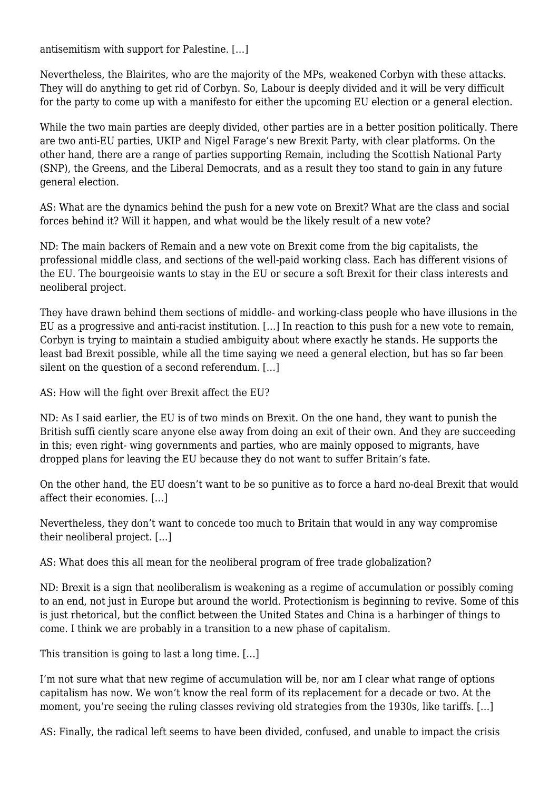antisemitism with support for Palestine. […]

Nevertheless, the Blairites, who are the majority of the MPs, weakened Corbyn with these attacks. They will do anything to get rid of Corbyn. So, Labour is deeply divided and it will be very difficult for the party to come up with a manifesto for either the upcoming EU election or a general election.

While the two main parties are deeply divided, other parties are in a better position politically. There are two anti-EU parties, UKIP and Nigel Farage's new Brexit Party, with clear platforms. On the other hand, there are a range of parties supporting Remain, including the Scottish National Party (SNP), the Greens, and the Liberal Democrats, and as a result they too stand to gain in any future general election.

AS: What are the dynamics behind the push for a new vote on Brexit? What are the class and social forces behind it? Will it happen, and what would be the likely result of a new vote?

ND: The main backers of Remain and a new vote on Brexit come from the big capitalists, the professional middle class, and sections of the well-paid working class. Each has different visions of the EU. The bourgeoisie wants to stay in the EU or secure a soft Brexit for their class interests and neoliberal project.

They have drawn behind them sections of middle- and working-class people who have illusions in the EU as a progressive and anti-racist institution. […] In reaction to this push for a new vote to remain, Corbyn is trying to maintain a studied ambiguity about where exactly he stands. He supports the least bad Brexit possible, while all the time saying we need a general election, but has so far been silent on the question of a second referendum. […]

AS: How will the fight over Brexit affect the EU?

ND: As I said earlier, the EU is of two minds on Brexit. On the one hand, they want to punish the British suffi ciently scare anyone else away from doing an exit of their own. And they are succeeding in this; even right- wing governments and parties, who are mainly opposed to migrants, have dropped plans for leaving the EU because they do not want to suffer Britain's fate.

On the other hand, the EU doesn't want to be so punitive as to force a hard no-deal Brexit that would affect their economies. […]

Nevertheless, they don't want to concede too much to Britain that would in any way compromise their neoliberal project. […]

AS: What does this all mean for the neoliberal program of free trade globalization?

ND: Brexit is a sign that neoliberalism is weakening as a regime of accumulation or possibly coming to an end, not just in Europe but around the world. Protectionism is beginning to revive. Some of this is just rhetorical, but the conflict between the United States and China is a harbinger of things to come. I think we are probably in a transition to a new phase of capitalism.

This transition is going to last a long time. […]

I'm not sure what that new regime of accumulation will be, nor am I clear what range of options capitalism has now. We won't know the real form of its replacement for a decade or two. At the moment, you're seeing the ruling classes reviving old strategies from the 1930s, like tariffs. […]

AS: Finally, the radical left seems to have been divided, confused, and unable to impact the crisis